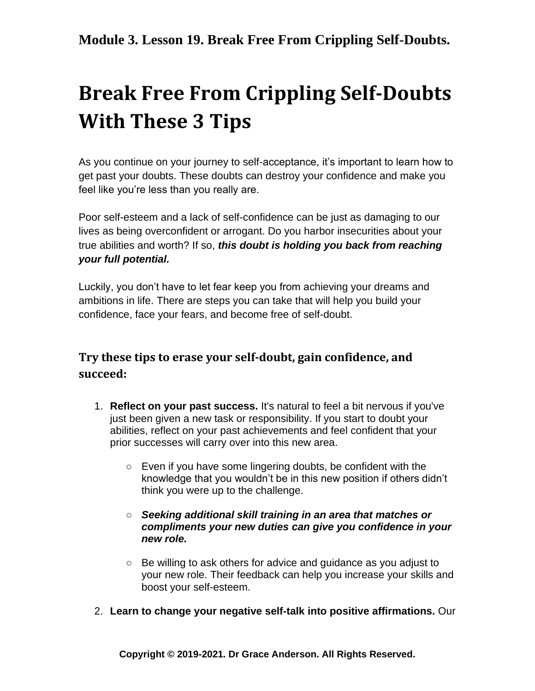# **Break Free From Crippling Self-Doubts With These 3 Tips**

As you continue on your journey to self-acceptance, it's important to learn how to get past your doubts. These doubts can destroy your confidence and make you feel like you're less than you really are.

Poor self-esteem and a lack of self-confidence can be just as damaging to our lives as being overconfident or arrogant. Do you harbor insecurities about your true abilities and worth? If so, *this doubt is holding you back from reaching your full potential.*

Luckily, you don't have to let fear keep you from achieving your dreams and ambitions in life. There are steps you can take that will help you build your confidence, face your fears, and become free of self-doubt.

#### **Try these tips to erase your self-doubt, gain confidence, and succeed:**

- 1. **Reflect on your past success.** It's natural to feel a bit nervous if you've just been given a new task or responsibility. If you start to doubt your abilities, reflect on your past achievements and feel confident that your prior successes will carry over into this new area.
	- Even if you have some lingering doubts, be confident with the knowledge that you wouldn't be in this new position if others didn't think you were up to the challenge.

#### ○ *Seeking additional skill training in an area that matches or compliments your new duties can give you confidence in your new role.*

- Be willing to ask others for advice and guidance as you adjust to your new role. Their feedback can help you increase your skills and boost your self-esteem.
- 2. **Learn to change your negative self-talk into positive affirmations.** Our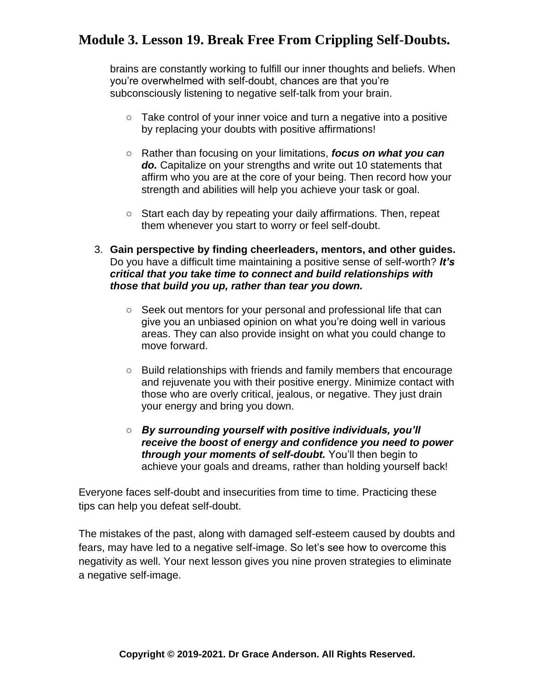## **Module 3. Lesson 19. Break Free From Crippling Self-Doubts.**

brains are constantly working to fulfill our inner thoughts and beliefs. When you're overwhelmed with self-doubt, chances are that you're subconsciously listening to negative self-talk from your brain.

- $\circ$  Take control of your inner voice and turn a negative into a positive by replacing your doubts with positive affirmations!
- Rather than focusing on your limitations, *focus on what you can do.* Capitalize on your strengths and write out 10 statements that affirm who you are at the core of your being. Then record how your strength and abilities will help you achieve your task or goal.
- Start each day by repeating your daily affirmations. Then, repeat them whenever you start to worry or feel self-doubt.
- 3. **Gain perspective by finding cheerleaders, mentors, and other guides.** Do you have a difficult time maintaining a positive sense of self-worth? *It's critical that you take time to connect and build relationships with those that build you up, rather than tear you down.*
	- Seek out mentors for your personal and professional life that can give you an unbiased opinion on what you're doing well in various areas. They can also provide insight on what you could change to move forward.
	- Build relationships with friends and family members that encourage and rejuvenate you with their positive energy. Minimize contact with those who are overly critical, jealous, or negative. They just drain your energy and bring you down.
	- *By surrounding yourself with positive individuals, you'll receive the boost of energy and confidence you need to power through your moments of self-doubt.* You'll then begin to achieve your goals and dreams, rather than holding yourself back!

Everyone faces self-doubt and insecurities from time to time. Practicing these tips can help you defeat self-doubt.

The mistakes of the past, along with damaged self-esteem caused by doubts and fears, may have led to a negative self-image. So let's see how to overcome this negativity as well. Your next lesson gives you nine proven strategies to eliminate a negative self-image.